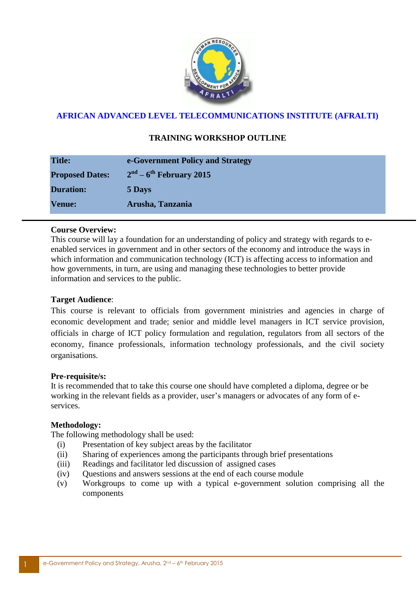

## **AFRICAN ADVANCED LEVEL TELECOMMUNICATIONS INSTITUTE (AFRALTI)**

# **TRAINING WORKSHOP OUTLINE**

| <b>Title:</b>          | e-Government Policy and Strategy |
|------------------------|----------------------------------|
| <b>Proposed Dates:</b> | $2nd - 6th$ February 2015        |
| <b>Duration:</b>       | 5 Days                           |
| <b>Venue:</b>          | Arusha, Tanzania                 |

### **Course Overview:**

This course will lay a foundation for an understanding of policy and strategy with regards to eenabled services in government and in other sectors of the economy and introduce the ways in which information and communication technology (ICT) is affecting access to information and how governments, in turn, are using and managing these technologies to better provide information and services to the public.

### **Target Audience**:

This course is relevant to officials from government ministries and agencies in charge of economic development and trade; senior and middle level managers in ICT service provision, officials in charge of ICT policy formulation and regulation, regulators from all sectors of the economy, finance professionals, information technology professionals, and the civil society organisations.

#### **Pre-requisite/s:**

It is recommended that to take this course one should have completed a diploma, degree or be working in the relevant fields as a provider, user's managers or advocates of any form of eservices.

### **Methodology:**

The following methodology shall be used:

- (i) Presentation of key subject areas by the facilitator
- (ii) Sharing of experiences among the participants through brief presentations
- (iii) Readings and facilitator led discussion of assigned cases
- (iv) Questions and answers sessions at the end of each course module
- (v) Workgroups to come up with a typical e-government solution comprising all the components